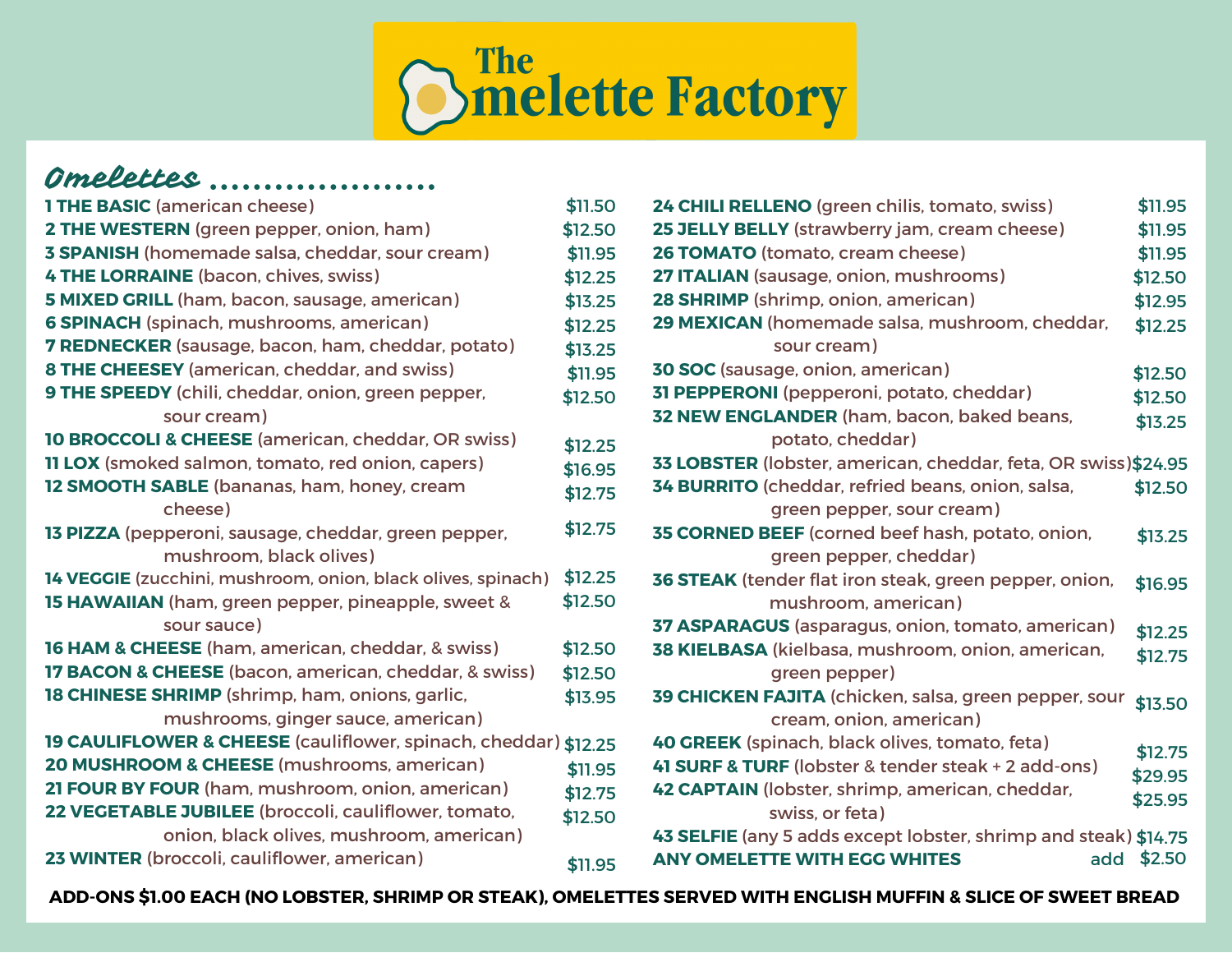

## Omelettes .....................

| <b>1 THE BASIC (american cheese)</b>                             | \$11.50 |
|------------------------------------------------------------------|---------|
| 2 THE WESTERN (green pepper, onion, ham)                         | \$12.50 |
| <b>3 SPANISH</b> (homemade salsa, cheddar, sour cream)           | \$11.95 |
| <b>4 THE LORRAINE</b> (bacon, chives, swiss)                     | \$12.25 |
| 5 MIXED GRILL (ham, bacon, sausage, american)                    | \$13.25 |
| <b>6 SPINACH</b> (spinach, mushrooms, american)                  | \$12.25 |
| <b>7 REDNECKER</b> (sausage, bacon, ham, cheddar, potato)        | \$13.25 |
| <b>8 THE CHEESEY</b> (american, cheddar, and swiss)              | \$11.95 |
| 9 THE SPEEDY (chili, cheddar, onion, green pepper,               | \$12.50 |
| sour cream)                                                      |         |
| <b>10 BROCCOLI &amp; CHEESE</b> (american, cheddar, OR swiss)    | \$12.25 |
| <b>11 LOX</b> (smoked salmon, tomato, red onion, capers)         | \$16.95 |
| 12 SMOOTH SABLE (bananas, ham, honey, cream                      | \$12.75 |
| cheese)                                                          |         |
| 13 PIZZA (pepperoni, sausage, cheddar, green pepper,             | \$12.75 |
| mushroom, black olives)                                          |         |
| 14 VEGGIE (zucchini, mushroom, onion, black olives, spinach)     | \$12.25 |
| <b>15 HAWAIIAN</b> (ham, green pepper, pineapple, sweet &        | \$12.50 |
| sour sauce)                                                      |         |
| 16 HAM & CHEESE (ham, american, cheddar, & swiss)                | \$12.50 |
| <b>17 BACON &amp; CHEESE</b> (bacon, american, cheddar, & swiss) | \$12.50 |
| 18 CHINESE SHRIMP (shrimp, ham, onions, garlic,                  | \$13.95 |
| mushrooms, ginger sauce, american)                               |         |
| 19 CAULIFLOWER & CHEESE (cauliflower, spinach, cheddar) \$12.25  |         |
| 20 MUSHROOM & CHEESE (mushrooms, american)                       | \$11.95 |
| 21 FOUR BY FOUR (ham, mushroom, onion, american)                 | \$12.75 |
| 22 VEGETABLE JUBILEE (broccoli, cauliflower, tomato,             | \$12.50 |
| onion, black olives, mushroom, american)                         |         |
| 23 WINTER (broccoli, cauliflower, american)                      | \$11.95 |

| 24 CHILI RELLENO (green chilis, tomato, swiss)                  | \$11.95 |
|-----------------------------------------------------------------|---------|
| 25 JELLY BELLY (strawberry jam, cream cheese)                   | \$11.95 |
| 26 TOMATO (tomato, cream cheese)                                | \$11.95 |
| 27 ITALIAN (sausage, onion, mushrooms)                          | \$12.50 |
| 28 SHRIMP (shrimp, onion, american)                             | \$12.95 |
| 29 MEXICAN (homemade salsa, mushroom, cheddar,                  | \$12.25 |
| sour cream)                                                     |         |
| <b>30 SOC</b> (sausage, onion, american)                        | \$12.50 |
| 31 PEPPERONI (pepperoni, potato, cheddar)                       | \$12.50 |
| 32 NEW ENGLANDER (ham, bacon, baked beans,                      | \$13.25 |
| potato, cheddar)                                                |         |
| 33 LOBSTER (lobster, american, cheddar, feta, OR swiss)\$24.95  |         |
| 34 BURRITO (cheddar, refried beans, onion, salsa,               | \$12.50 |
| green pepper, sour cream)                                       |         |
| 35 CORNED BEEF (corned beef hash, potato, onion,                | \$13.25 |
| green pepper, cheddar)                                          |         |
| 36 STEAK (tender flat iron steak, green pepper, onion,          | \$16.95 |
| mushroom, american)                                             |         |
| 37 ASPARAGUS (asparagus, onion, tomato, american)               | \$12.25 |
| 38 KIELBASA (kielbasa, mushroom, onion, american,               | \$12.75 |
| green pepper)                                                   |         |
| 39 CHICKEN FAJITA (chicken, salsa, green pepper, sour           | \$13.50 |
| cream, onion, american)                                         |         |
| 40 GREEK (spinach, black olives, tomato, feta)                  |         |
| 41 SURF & TURF (lobster & tender steak + 2 add-ons)             | \$12.75 |
| 42 CAPTAIN (lobster, shrimp, american, cheddar,                 | \$29.95 |
| swiss, or feta)                                                 | \$25.95 |
| 43 SELFIE (any 5 adds except lobster, shrimp and steak) \$14.75 |         |
| <b>ANY OMELETTE WITH EGG WHITES</b><br>add                      | \$2.50  |
|                                                                 |         |

ADD-ONS \$1.00 EACH (NO LOBSTER, SHRIMP OR STEAK), OMELETTES SERVED WITH ENGLISH MUFFIN & SLICE OF SWEET BREAD